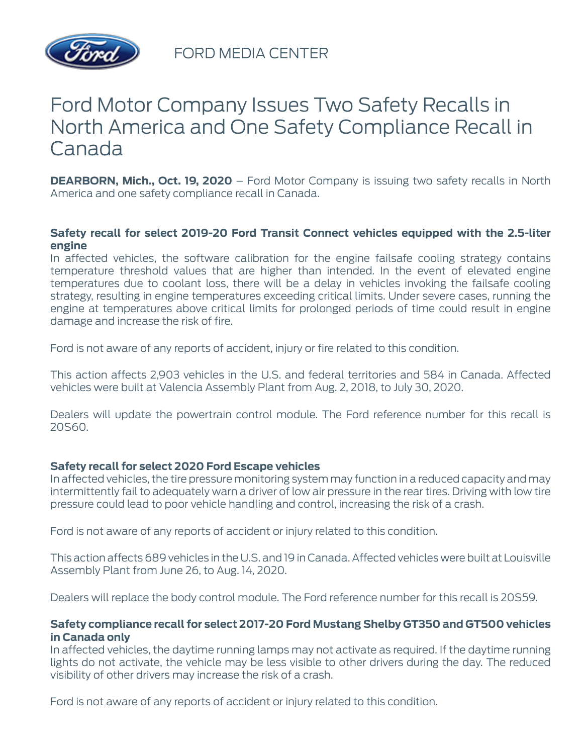

FORD MEDIA CENTER

# Ford Motor Company Issues Two Safety Recalls in North America and One Safety Compliance Recall in Canada

**DEARBORN, Mich., Oct. 19, 2020** – Ford Motor Company is issuing two safety recalls in North America and one safety compliance recall in Canada.

#### **Safety recall for select 2019-20 Ford Transit Connect vehicles equipped with the 2.5-liter engine**

In affected vehicles, the software calibration for the engine failsafe cooling strategy contains temperature threshold values that are higher than intended. In the event of elevated engine temperatures due to coolant loss, there will be a delay in vehicles invoking the failsafe cooling strategy, resulting in engine temperatures exceeding critical limits. Under severe cases, running the engine at temperatures above critical limits for prolonged periods of time could result in engine damage and increase the risk of fire.

Ford is not aware of any reports of accident, injury or fire related to this condition.

This action affects 2,903 vehicles in the U.S. and federal territories and 584 in Canada. Affected vehicles were built at Valencia Assembly Plant from Aug. 2, 2018, to July 30, 2020.

Dealers will update the powertrain control module. The Ford reference number for this recall is 20S60.

### **Safety recall for select 2020 Ford Escape vehicles**

In affected vehicles, the tire pressure monitoring system may function in a reduced capacity and may intermittently fail to adequately warn a driver of low air pressure in the rear tires. Driving with low tire pressure could lead to poor vehicle handling and control, increasing the risk of a crash.

Ford is not aware of any reports of accident or injury related to this condition.

This action affects 689 vehicles in the U.S. and 19 in Canada. Affected vehicles were built at Louisville Assembly Plant from June 26, to Aug. 14, 2020.

Dealers will replace the body control module. The Ford reference number for this recall is 20S59.

#### **Safety compliance recall for select 2017-20 Ford Mustang Shelby GT350 and GT500 vehicles in Canada only**

In affected vehicles, the daytime running lamps may not activate as required. If the daytime running lights do not activate, the vehicle may be less visible to other drivers during the day. The reduced visibility of other drivers may increase the risk of a crash.

Ford is not aware of any reports of accident or injury related to this condition.